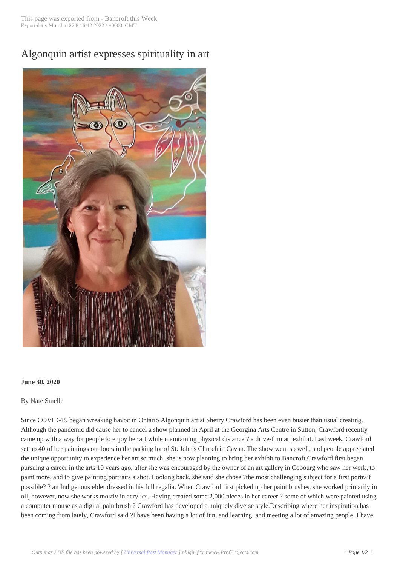Algonquin artist ex[presses spirit](http://www.bancroftthisweek.com/?p=10717)uality in art



## **June 30, 2020**

By Nate Smelle

Since COVID-19 began wreaking havoc in Ontario Algonquin artist Sherry Crawford has been even busier than usual creating. Although the pandemic did cause her to cancel a show planned in April at the Georgina Arts Centre in Sutton, Crawford recently came up with a way for people to enjoy her art while maintaining physical distance ? a drive-thru art exhibit. Last week, Crawford set up 40 of her paintings outdoors in the parking lot of St. John's Church in Cavan. The show went so well, and people appreciated the unique opportunity to experience her art so much, she is now planning to bring her exhibit to Bancroft.Crawford first began pursuing a career in the arts 10 years ago, after she was encouraged by the owner of an art gallery in Cobourg who saw her work, to paint more, and to give painting portraits a shot. Looking back, she said she chose ?the most challenging subject for a first portrait possible? ? an Indigenous elder dressed in his full regalia. When Crawford first picked up her paint brushes, she worked primarily in oil, however, now she works mostly in acrylics. Having created some 2,000 pieces in her career ? some of which were painted using a computer mouse as a digital paintbrush ? Crawford has developed a uniquely diverse style.Describing where her inspiration has been coming from lately, Crawford said ?I have been having a lot of fun, and learning, and meeting a lot of amazing people. I have